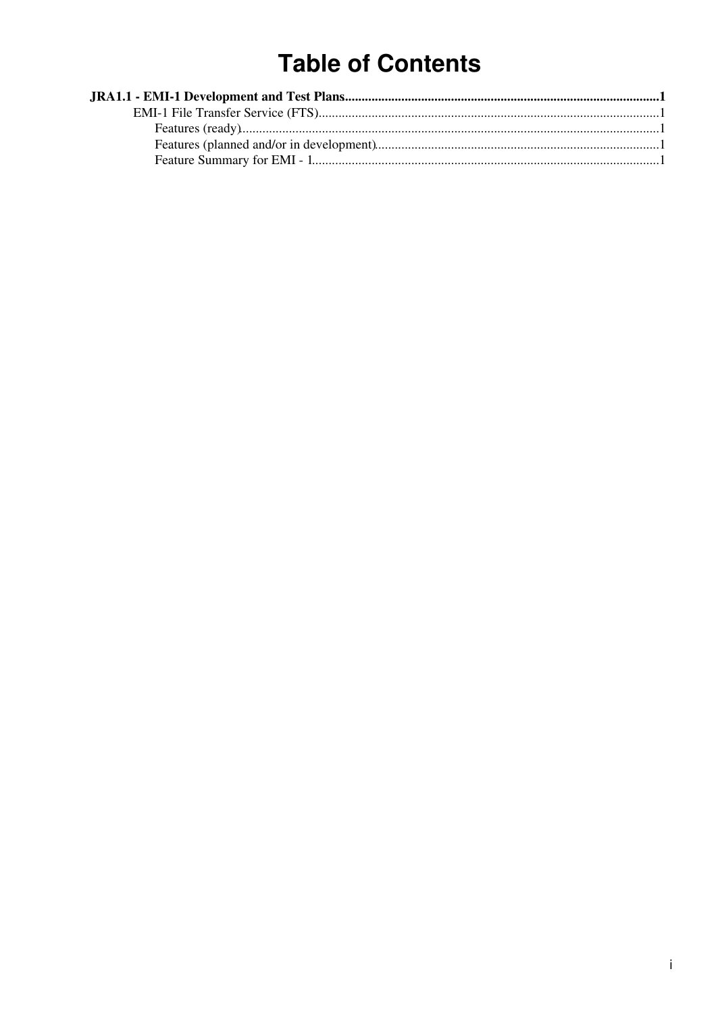# **Table of Contents**